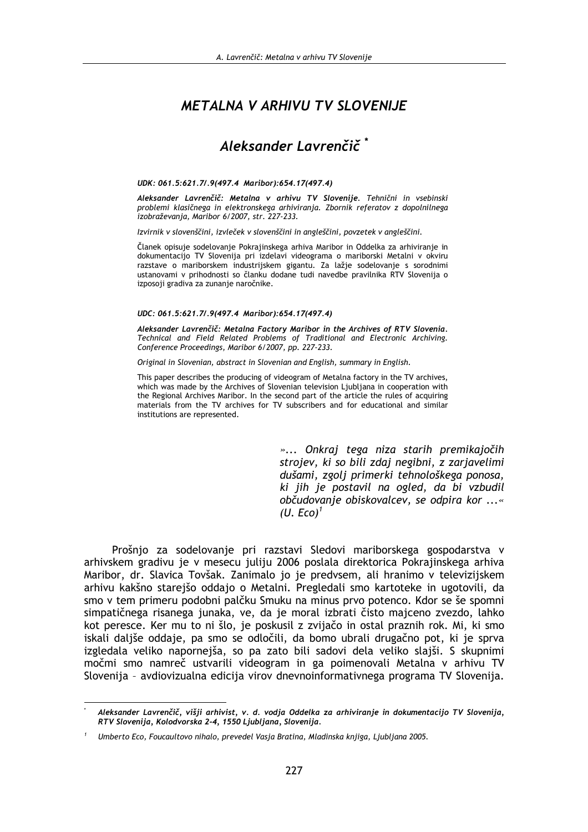# **METALNA V ARHIVU TV SLOVENIJE**

# Aleksander Lavrenčič<sup>\*</sup>

#### UDK: 061.5:621.7/.9(497.4 Maribor):654.17(497.4)

Aleksander Lavrenčič: Metalna v arhivu TV Slovenije. Tehnični in vsebinski problemi klasičnega in elektronskega arhiviranja. Zbornik referatov z dopolnilnega izobraževania, Maribor 6/2007, str. 227-233.

Izvirnik v slovenščini, izvleček v slovenščini in angleščini, povzetek v angleščini.

Članek opisuje sodelovanje Pokrajinskega arhiva Maribor in Oddelka za arhiviranje in dokumentacijo TV Slovenija pri izdelavi videograma o mariborski Metalni v okviru razstave o mariborskem industrijskem gigantu. Za lažje sodelovanje s sorodnimi ustanovami v prihodnosti so članku dodane tudi navedbe pravilnika RTV Slovenija o izposoji gradiva za zunanje naročnike.

#### UDC: 061.5:621.7/.9(497.4 Maribor):654.17(497.4)

Aleksander Lavrenčič: Metalna Factory Maribor in the Archives of RTV Slovenia. Technical and Field Related Problems of Traditional and Electronic Archiving. Conference Proceedings, Maribor 6/2007, pp. 227-233.

Original in Slovenian, abstract in Slovenian and English, summary in English.

This paper describes the producing of videogram of Metalna factory in the TV archives. which was made by the Archives of Slovenian television Ljubljana in cooperation with the Regional Archives Maribor. In the second part of the article the rules of acquiring materials from the TV archives for TV subscribers and for educational and similar institutions are represented.

> »... Onkraj tega niza starih premikajočih strojev, ki so bili zdaj negibni, z zarjavelimi dušami, zgolj primerki tehnološkega ponosa, ki jih je postavil na ogled, da bi vzbudil občudovanje obiskovalcev, se odpira kor ...«  $(U. Eco)^{1}$

Prošnjo za sodelovanje pri razstavi Sledovi mariborskega gospodarstva v arhivskem gradivu je v mesecu juliju 2006 poslala direktorica Pokrajinskega arhiva Maribor, dr. Slavica Tovšak. Zanimalo jo je predvsem, ali hranimo v televizijskem arhivu kakšno starejšo oddajo o Metalni. Pregledali smo kartoteke in ugotovili, da smo v tem primeru podobni palčku Smuku na minus prvo potenco. Kdor se še spomni simpatičnega risanega junaka, ve, da je moral izbrati čisto majceno zvezdo, lahko kot peresce. Ker mu to ni šlo, je poskusil z zvijačo in ostal praznih rok. Mi, ki smo iskali daljše oddaje, pa smo se odločili, da bomo ubrali drugačno pot, ki je sprva izgledala veliko napornejša, so pa zato bili sadovi dela veliko slajši. S skupnimi močmi smo namreč ustvarili videogram in ga poimenovali Metalna v arhivu TV Slovenija - avdiovizualna edicija virov dnevnoinformativnega programa TV Slovenija.

Aleksander Lavrenčič, višji arhivist, v. d. vodja Oddelka za arhiviranje in dokumentacijo TV Slovenija, RTV Slovenija, Kolodvorska 2-4, 1550 Ljubljana, Slovenija.

Umberto Eco, Foucaultovo nihalo, prevedel Vasja Bratina, Mladinska knjiga, Ljubljana 2005.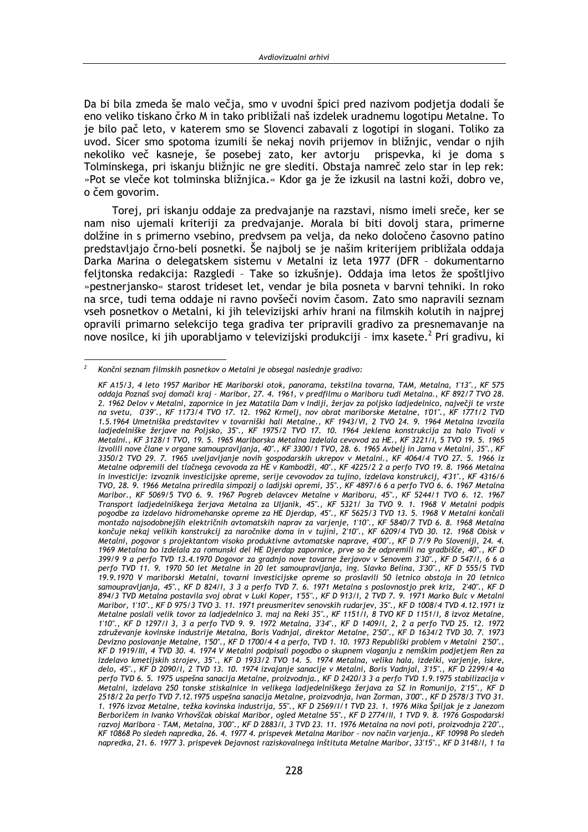Da bi bila zmeda še malo večia, smo v uvodni špici pred nazivom podietia dodali še eno veliko tiskano črko M in tako približali naš izdelek uradnemu logotipu Metalne. To je bilo pač leto, v katerem smo se Slovenci zabavali z logotipi in slogani. Toliko za uvod. Sicer smo spotoma izumili še nekaj novih prijemov in bližnjic, vendar o njih nekoliko več kasneje, še posebej zato, ker avtorju prispevka, ki je doma s Tolminskega, pri iskanju bližnjic ne gre slediti. Obstaja namreč zelo star in lep rek: »Pot se vleče kot tolminska bližnjica.« Kdor ga je že izkusil na lastni koži, dobro ve, o čem govorim.

Torej, pri iskanju oddaje za predvajanje na razstavi, nismo imeli sreče, ker se nam niso ujemali kriteriji za predvajanje. Morala bi biti dovolj stara, primerne dolžine in s primerno vsebino, predvsem pa velja, da neko določeno časovno patino predstavljajo črno-beli posnetki. Še najbolj se je našim kriterijem približala oddaja Darka Marina o delegatskem sistemu v Metalni iz leta 1977 (DFR - dokumentarno felitonska redakcija: Razgledi - Take so izkušnje). Oddaja ima letos že spoštljivo »pestnerjansko« starost trideset let, vendar je bila posneta v barvni tehniki. In roko na srce, tudi tema oddaje ni ravno povšeči novim časom. Zato smo napravili seznam yseh posnetkov o Metalni, ki jih televizijski arhiv hrani na filmskih kolutih in najprej opravili primarno selekcijo tega gradiva ter pripravili gradivo za presnemavanje na nove nosilce, ki jih uporabljamo v televizijski produkciji - imx kasete.<sup>2</sup> Pri gradivu, ki

 $\overline{2}$ Končni seznam filmskih posnetkov o Metalni je obsegal naslednje gradivo:

KF A15/3, 4 leto 1957 Maribor HE Mariborski otok, panorama, tekstilna tovarna, TAM, Metalna, 1'13"., KF 575 oddaja Poznaš svoj domači kraj - Maribor, 27. 4. 1961, v predfilmu o Mariboru tudi Metalna., KF 892/7 TVO 28. 2. 1962 Delov v Metalni, zapornice in jez Matatila Dam v Indiji, žerjav za poljsko ladjedelnico, največji te vrste na svetu, 0'39"., KF 1173/4 TVO 17. 12. 1962 Krmelj, nov obrat mariborske Metalne, 1'01"., KF 1771/2 TVD 1.5.1964 Umetniška predstavitev v tovarniški hali Metalne., KF 1943/VI, 2 TVO 24. 9. 1964 Metalna izvozila<br>ladjedelniške žerjave na Poljsko, 35"., KF 1975/2 TVO 17. 10. 1964 Jeklena konstrukcija za halo Tivoli v Metalni., KF 3128/1 TVO, 19. 5. 1965 Mariborska Metalna izdelala cevovod za HE., KF 3221/I, 5 TVO 19. 5. 1965 izvolili nove člane v organe samoupravljanja, 40"., KF 3300/1 TVO, 28. 6. 1965 Avbelj in Jama v Metalni, 35"., KF 3350/2 TVO 29. 7. 1965 uveljavljanje novih gospodarskih ukrepov v Metalni., KF 4064/4 TVO 27. 5. 1966 iz Metalne odpremili del tlačnega cevovoda za HE v Kambodži, 40"., KF 4225/2 2 a perfo TVO 19. 8. 1966 Metalna in investicije: izvoznik investicijske opreme, serije cevovodov za tujino, izdelava konstrukcij, 4'31"., KF 4316/6 TVO, 28. 9. 1966 Metalna priredila simpozij o ladijski opremi, 35"., KF 4897/6 6 a perfo TVO 6. 6. 1967 Metalna Maribor., KF 5069/5 TVO 6. 9. 1967 Pogreb delavcev Metalne v Mariboru, 45"., KF 5244/1 TVO 6. 12. 1967<br>Transport ladjedelniškega žerjava Metalna za Uljanik, 45"., KF 5321/ 3a TVO 9. 1. 1968 V Metalni podpis pogodbe za izdelavo hidromehanske opreme za HE Djerdap, 45"., KF 5625/3 TVD 13. 5. 1968 V Metalni končali montažo najsodobnejših električnih avtomatskih naprav za varjenje, 1'10"., KF 5840/7 TVD 6. 8. 1968 Metalna končuje nekaj velikih konstrukcij za naročnike doma in v tujini, 2'10"., KF 6209/4 TVD 30. 12. 1968 Obisk v Metalni, pogovor s projektantom visoko produktivne avtomatske naprave, 4'00"., KF D 7/9 Po Sloveniji, 24. 4. 1969 Metalna bo izdelala za romunski del HE Djerdap zapornice, prve so že odpremili na gradbišče, 40"., KF D 399/9 9 a perfo TVD 13.4.1970 Dogovor za gradnjo nove tovarne žerjavov v Senovem 3'30"., KF D 547/I, 6 6 a perfo TVD 11. 9. 1970 50 let Metalne in 20 let samoupravljanja, ing. Slavko Belina, 3'30"., KF D 555/5 TVD .<br>19.9.1970 V mariborski Metalni, tovarni investicijske opreme so proslavili 50 letnico obstoja in 20 letnico samoupravljanja, 45"., KF D 824/1, 3 3 a perfo TVD 7. 6. 1971 Metalna s poslovnostjo prek kriz, 2'40"., KF D 894/3 TVD Metalna postavila svoj obrat v Luki Koper, 1'55"., KF D 913/I, 2 TVD 7. 9. 1971 Marko Bulc v Metalni Maribor, 1'10"., KF D 975/3 TVO 3. 11. 1971 preusmeritev senovskih rudarjev, 35"., KF D 1008/4 TVD 4.12.1971 iz Metalne poslali velik tovor za ladjedelnico 3. maj na Reki 35"., KF 1151/I, 8 TVO KF D 1151/I, 8 izvoz Metalne, 1'10"., KF D 1297/I 3, 3 a perfo TVD 9. 9. 1972 Metalna, 3'34"., KF D 1409/I, 2, 2 a perfo TVD 25. 12. 1972 združevanje kovinske industrije Metalna, Boris Vadnjal, direktor Metalne, 2'50"., KF D 1634/2 TVD 30. 7. 1973 Devizno poslovanje Metalne, 1'50"., KF D 1700/4 4 a perfo, TVD 1. 10. 1973 Republiški problem v Metalni 2'50"., KF D 1919/III, 4 TVD 30. 4. 1974 V Metalni podpisali pogodbo o skupnem vlaganju z nemškim podjetjem Ren za izdelavo kmetijskih strojev, 35"., KF D 1933/2 TVO 14. 5. 1974 Metalna, velika hala, izdelki, varjenje, iskre, delo perfo TVD 6. 5. 1975 uspešna sanacija Metalne, proizvodnja., KF D 2420/3 3 a perfo TVD 1.9.1975 stabilizacija v .<br>Metalni, izdelava 250 tonske stiskalnice in velikega ladjedelniškega žerjava za SZ in Romunijo, 2'15"., KF D 2518/2 2a perfo TVD 7.12.1975 uspešna sanacija Metalne, proizvodnja, Ivan Zorman, 3'00"., KF D 2578/3 TVO 31. 1. 1976 izvoz Metalne, težka kovinska industrija, 55"., KF D 2569/1/1 TVD 23. 1. 1976 Mika Špiljak je z Janezom Berboričem in Ivanko Vrhovščak obiskal Maribor, ogled Metalne 55"., KF D 2774/II, 1 TVD 9. 8. 1976 Gospodarski razvoj Maribora - TAM, Metalna, 3'00"., KF D 2883/I, 3 TVD 23. 11. 1976 Metalna na novi poti, proizvodnja 2'20"., KF 10868 Po sledeh napredka, 26. 4. 1977 4. prispevek Metalna Maribor - nov način varjenja., KF 10998 Po sledeh napredka, 21. 6. 1977 3. prispevek Dejavnost raziskovalnega inštituta Metalne Maribor, 33'15"., KF D 3148/I, 1 1a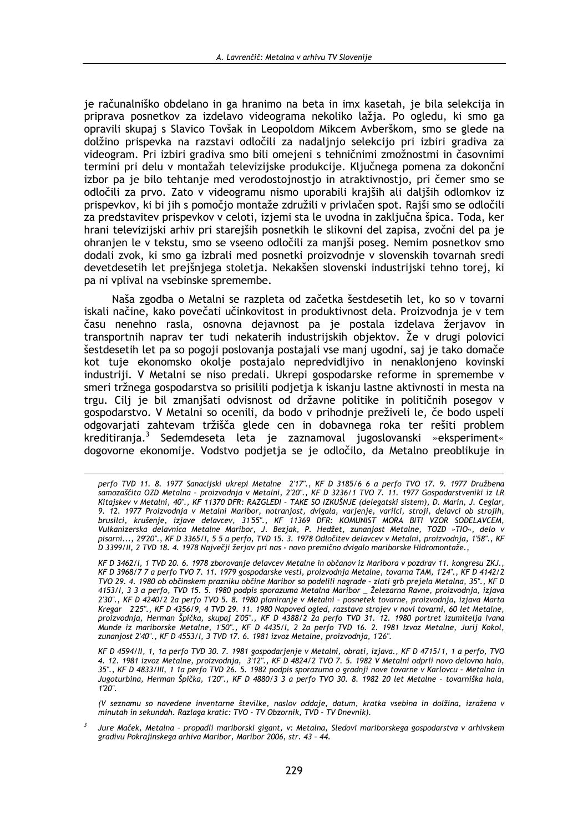je računalniško obdelano in ga hranimo na beta in imx kasetah, je bila selekcija in priprava posnetkov za izdelavo videograma nekoliko lažia. Po ogledu, ki smo ga opravili skupaj s Slavico Tovšak in Leopoldom Mikcem Avberškom, smo se glede na dolžino prispevka na razstavi odločili za nadaljnjo selekcijo pri izbiri gradiva za videogram. Pri izbiri gradiva smo bili omejeni s tehničnimi zmožnostmi in časovnimi termini pri delu v montažah televizijske produkcije. Ključnega pomena za dokončni izbor pa je bilo tehtanje med verodostojnostio in atraktivnostio, pri čemer smo se odločili za prvo. Zato v videogramu nismo uporabili krajših ali daljših odlomkov iz prispevkov, ki bi jih s pomočjo montaže združili v privlačen spot. Rajši smo se odločili za predstavitev prispevkov v celoti, izjemi sta le uvodna in zaključna špica. Toda, ker hrani televizijski arhiv pri starejših posnetkih le slikovni del zapisa, zvočni del pa je ohranjen le v tekstu, smo se vseeno odločili za manjši poseg. Nemim posnetkov smo dodali zvok, ki smo ga izbrali med posnetki proizvodnje v slovenskih tovarnah sredi devetdesetih let preišnjega stoletja. Nekakšen slovenski industrijski tehno torej, ki pa ni vplival na vsebinske spremembe.

Naša zgodba o Metalni se razpleta od začetka šestdesetih let, ko so v tovarni iskali načine, kako povečati učinkovitost in produktivnost dela. Proizvodnja je v tem času nenehno rasla, osnovna dejavnost pa je postala izdelava žerjavov in transportnih naprav ter tudi nekaterih industrijskih objektov. Že v drugi polovici šestdesetih let pa so pogoji poslovanja postajali vse manj ugodni, saj je tako domače kot tuje ekonomsko okolje postajalo nepredvidljivo in nenaklonjeno kovinski industriji. V Metalni se niso predali. Ukrepi gospodarske reforme in spremembe v smeri tržnega gospodarstva so prisilili podjetja k iskanju lastne aktivnosti in mesta na trgu. Cilj je bil zmanjšati odvisnost od državne politike in političnih posegov v gospodarstvo. V Metalni so ocenili, da bodo v prihodnje preživeli le, če bodo uspeli odgovarjati zahtevam tržišča glede cen in dobavnega roka ter rešiti problem kreditiranja.<sup>3</sup> Sedemdeseta leta je zaznamoval jugoslovanski »eksperiment« dogovorne ekonomije. Vodstvo podjetja se je odločilo, da Metalno preoblikuje in

perfo TVD 11. 8. 1977 Sanacijski ukrepi Metalne 2'17"., KF D 3185/6 6 a perfo TVO 17. 9. 1977 Družbena<br>samozaščita OZD Metalna - proizvodnja v Metalni, 2'20"., KF D 3236/1 TVO 7. 11. 1977 Gospodarstveniki iz LR Kitajskev v Metalni, 40"., KF 11370 DFR: RAZGLEDI - TAKE SO IZKUŠNJE (delegatski sistem), D. Marin, J. Ceglar, 9. 12. 1977 Proizvodnja v Metalni Maribor, notranjost, dvigala, varjenje, varilci, stroji, delavci ob strojih,<br>brusilci, krušenje, izjave delavcev, 31'55"., KF 11369 DFR: KOMUNIST MORA BITI VZOR SODELAVCEM, Vulkanizerska delavnica Metalne Maribor, J. Bezjak, P. Hedžet, zunanjost Metalne, TOZD »TIO«, delo v<br>pisarni..., 29'20"., KF D 3365/1, 5 5 a perfo, TVD 15. 3. 1978 Odločitev delavcev v Metalni, proizvodnja, 1'58"., KF D 3399/II, 2 TVD 18. 4. 1978 Največji žerjav pri nas - novo premično dvigalo mariborske Hidromontaže.,

KF D 3462/I, 1 TVD 20. 6. 1978 zborovanje delavcev Metalne in občanov iz Maribora v pozdrav 11. kongresu ZKJ., KF D 3968/7 7 a perfo TVO 7. 11. 1979 gospodarske vesti, proizvodnja Metalne, tovarna TAM, 1'24"., KF D 4142/2 TVO 29. 4. 1980 ob občinskem prazniku občine Maribor so podelili nagrade - zlati grb prejela Metalna, 35"., KF D<br>4153/I, 3 3 a perfo, TVD 15. 5. 1980 podpis sporazuma Metalna Maribor \_ Železarna Ravne, proizvodnja, izjava 2'30"., KF D 4240/2 2a perfo TVO 5. 8. 1980 planiranje v Metalni - posnetek tovarne, proizvodnja, izjava Marta Kregar 2'25"., KF D 4356/9, 4 TVD 29. 11. 1980 Napoved ogled, razstava strojev v novi tovarni, 60 let Metalne, proizvodnja, Herman Špička, skupaj 2'05"., KF D 4388/2 2a perfo TVD 31. 12. 1980 portret izumitelja Ivana Munde iz mariborske Metalne, 150"., KF D 4435/l, 2 2a perfo TVD 16. 2. 1981 Izvoz Metalne, Jurij Kokol, zunanjost 2'40"., KF D 4553/l, 3 TVD 17. 6. 1981 izvoz 1. 1981 Izvoz Metalne, Jurij Kokol,

KF D 4594/II, 1, 1a perfo TVD 30. 7. 1981 gospodarjenje v Metalni, obrati, izjava., KF D 4715/1, 1 a perfo, TVO 4. 12. 1981 izvoz Metalne, proizvodnja, 312"., KF D 4824/2 TVO 7. 5. 1982 V Metalni odprli novo delovno halo,<br>35"., KF D 4833/III, 1 1a perfo TVD 26. 5. 1982 podpis sporazuma o gradnji nove tovarne v Karlovcu - Metalna in Jugoturbina, Herman Špička, 1'20"., KF D 4880/3 3 a perfo TVO 30. 8. 1982 20 let Metalne - tovarniška hala,  $1'20''$ .

<sup>(</sup>V seznamu so navedene inventarne številke, naslov oddaje, datum, kratka vsebina in dolžina, izražena v minutah in sekundah. Razlaga kratic: TVO - TV Obzornik, TVD - TV Dnevnik).

Jure Maček, Metalna - propadli mariborski gigant, v: Metalna, Sledovi mariborskega gospodarstva v arhivskem gradivu Pokrajinskega arhiva Maribor, Maribor 2006, str. 43 - 44.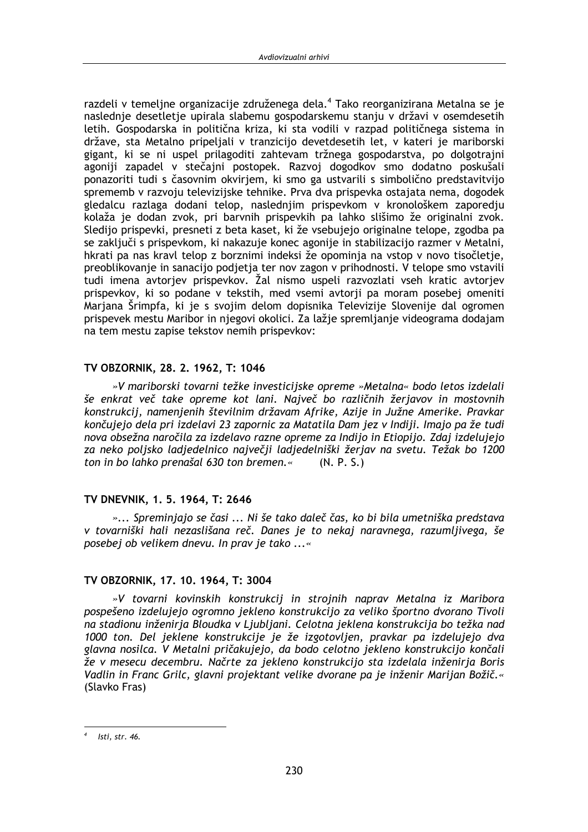razdeli v temeljne organizacije združenega dela.<sup>4</sup> Tako reorganizirana Metalna se je naslednie desetletie upirala slabemu gospodarskemu staniu v državi v osemdesetih letih. Gospodarska in politična kriza, ki sta vodili v razpad političnega sistema in države, sta Metalno pripeljali v tranzicijo devetdesetih let, v kateri je mariborski gigant, ki se ni uspel prilagoditi zahtevam tržnega gospodarstva, po dolgotrajni agoniji zapadel v stečajni postopek. Razvoj dogodkov smo dodatno poskušali ponazoriti tudi s časovnim okvirjem, ki smo ga ustvarili s simbolično predstavitvijo sprememb v razvoju televizijske tehnike. Prva dva prispevka ostajata nema, dogodek gledalcu razlaga dodani telop, naslednjim prispevkom v kronološkem zaporedju kolaža je dodan zvok, pri barvnih prispevkih pa lahko slišimo že originalni zvok. Sledijo prispevki, presneti z beta kaset, ki že vsebujejo originalne telope, zgodba pa se zaključi s prispevkom, ki nakazuje konec agonije in stabilizacijo razmer v Metalni, hkrati pa nas kravl telop z borznimi indeksi že opominja na vstop v novo tisočletje, preoblikovanje in sanacijo podjetja ter nov zagon v prihodnosti. V telope smo vstavili tudi imena avtorjev prispevkov. Žal nismo uspeli razvozlati vseh kratic avtorjev prispevkov, ki so podane v tekstih, med vsemi avtorii pa moram posebej omeniti Marjana Šrimpfa, ki je s svojim delom dopisnika Televizije Slovenije dal ogromen prispevek mestu Maribor in njegovi okolici. Za lažje spremljanje videograma dodajam na tem mestu zapise tekstov nemih prispevkov:

### TV OBZORNIK, 28, 2, 1962, T; 1046

»V mariborski tovarni težke investicijske opreme »Metalna« bodo letos izdelali še enkrat več take opreme kot lani. Največ bo različnih žerjavov in mostovnih konstrukcij, namenjenih številnim državam Afrike, Azije in Južne Amerike. Pravkar končujejo dela pri izdelavi 23 zapornic za Matatila Dam jez v Indiji. Imajo pa že tudi nova obsežna naročila za izdelavo razne opreme za Indijo in Etiopijo. Zdaj izdelujejo za neko poljsko ladjedelnico največji ladjedelniški žerjav na svetu. Težak bo 1200 ton in bo lahko prenašal 630 ton bremen.«  $(N, P, S)$ 

# TV DNEVNIK, 1.5. 1964, T: 2646

»... Spreminjajo se časi ... Ni še tako daleč čas, ko bi bila umetniška predstava v tovarniški hali nezaslišana reč. Danes je to nekaj naravnega, razumljivega, še posebej ob velikem dnevu. In prav je tako ...«

# TV OBZORNIK, 17, 10, 1964, T: 3004

»V tovarni kovinskih konstrukcij in strojnih naprav Metalna iz Maribora pospešeno izdelujejo ogromno jekleno konstrukcijo za veliko športno dvorano Tivoli na stadionu inženirja Bloudka v Ljubljani. Celotna jeklena konstrukcija bo težka nad 1000 ton. Del jeklene konstrukcije je že izgotovljen, pravkar pa izdelujejo dva glavna nosilca. V Metalni pričakujejo, da bodo celotno jekleno konstrukcijo končali že v mesecu decembru. Načrte za jekleno konstrukcijo sta izdelala inženirja Boris Vadlin in Franc Grilc, glavni projektant velike dvorane pa je inženir Marijan Božič.« (Slavko Fras)

Isti, str. 46.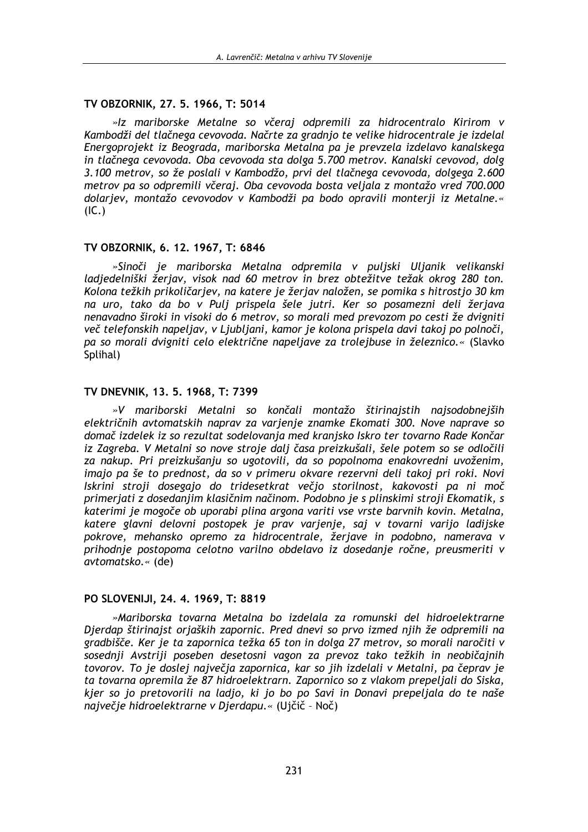### TV OBZORNIK, 27, 5, 1966, T: 5014

»Iz mariborske Metalne so včeraj odpremili za hidrocentralo Kirirom v Kambodži del tlačnega cevovoda. Načrte za gradnjo te velike hidrocentrale je izdelal Energoprojekt iz Beograda, mariborska Metalna pa je prevzela izdelavo kanalskega in tlačnega cevovoda. Oba cevovoda sta dolga 5.700 metrov. Kanalski cevovod, dolg 3.100 metrov, so že poslali v Kambodžo, prvi del tlačnega cevovoda, dolgega 2.600 metrov pa so odpremili včeraj. Oba cevovoda bosta veljala z montažo vred 700.000 dolarjev, montažo cevovodov v Kambodži pa bodo opravili monterji iz Metalne.«  $(IC.)$ 

### TV OBZORNIK, 6. 12. 1967, T: 6846

»Sinoči je mariborska Metalna odpremila v puljski Uljanik velikanski ladjedelniški žerjav, visok nad 60 metrov in brez obtežitve težak okrog 280 ton. Kolona težkih prikoličarjev, na katere je žerjav naložen, se pomika s hitrostjo 30 km na uro, tako da bo v Pulj prispela šele jutri. Ker so posamezni deli žerjava nenavadno široki in visoki do 6 metrov, so morali med prevozom po cesti že dvigniti več telefonskih napeljav, v Ljubljani, kamor je kolona prispela davi takoj po polnoči, pa so morali dvigniti celo električne napeljave za trolejbuse in železnico.« (Slavko Splihal)

#### TV DNEVNIK, 13. 5. 1968, T: 7399

»V mariborski Metalni so končali montažo štirinajstih najsodobnejših električnih avtomatskih naprav za varjenje znamke Ekomati 300. Nove naprave so domač izdelek iz so rezultat sodelovanja med kranjsko Iskro ter tovarno Rade Končar iz Zagreba. V Metalni so nove stroje dalj časa preizkušali, šele potem so se odločili za nakup. Pri preizkušanju so ugotovili, da so popolnoma enakovredni uvoženim, imajo pa še to prednost, da so v primeru okvare rezervni deli takoj pri roki. Novi Iskrini stroji dosegajo do tridesetkrat večio storilnost, kakovosti pa ni moč primeriati z dosedanijm klasičnim načinom. Podobno je s plinskimi stroji Ekomatik, s katerimi je mogoče ob uporabi plina argona variti vse vrste barvnih kovin. Metalna, katere glavni delovni postopek je prav varjenje, saj v tovarni varijo ladijske pokrove, mehansko opremo za hidrocentrale, žerjave in podobno, namerava v prihodnje postopoma celotno varilno obdelavo iz dosedanje ročne, preusmeriti v avtomatsko.« (de)

#### PO SLOVENIJI, 24. 4. 1969, T: 8819

»Mariborska tovarna Metalna bo izdelala za romunski del hidroelektrarne Djerdap štirinajst orjaških zapornic. Pred dnevi so prvo izmed njih že odpremili na gradbišče. Ker je ta zapornica težka 65 ton in dolga 27 metrov, so morali naročiti v sosednji Avstriji poseben desetosni vagon za prevoz tako težkih in neobičajnih tovorov. To je doslej največja zapornica, kar so jih izdelali v Metalni, pa čeprav je ta tovarna opremila že 87 hidroelektrarn. Zapornico so z vlakom prepeljali do Siska, kjer so jo pretovorili na ladjo, ki jo bo po Savi in Donavi prepeljala do te naše največje hidroelektrarne v Djerdapu.« (Ujčič - Noč)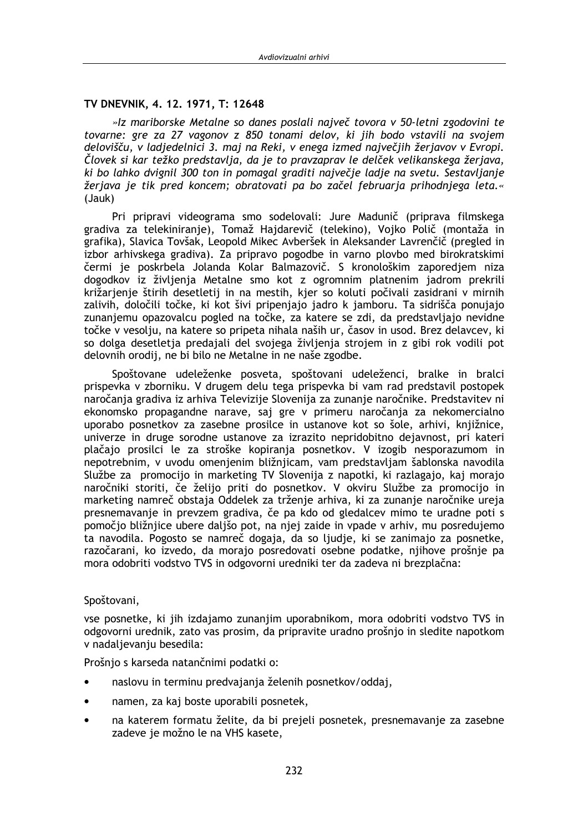### TV DNEVNIK, 4, 12, 1971, T: 12648

»Iz mariborske Metalne so danes poslali največ tovora v 50-letni zgodovini te tovarne: gre za 27 vagonov z 850 tonami delov, ki jih bodo vstavili na svojem delovišču, v ladiedelnici 3. mai na Reki, v enega izmed naivečiih žeriavov v Evropi. Človek si kar težko predstavlia, da je to pravzaprav le delček velikanskega žerjava, ki bo lahko dvignil 300 ton in pomagal graditi največje ladje na svetu. Sestavljanje žerjava je tik pred koncem; obratovati pa bo začel februarja prihodnjega leta.« (Jauk)

Pri pripravi videograma smo sodelovali: Jure Madunič (priprava filmskega gradiva za telekiniranje), Tomaž Hajdarevič (telekino), Vojko Polič (montaža in grafika), Slavica Tovšak, Leopold Mikec Avberšek in Aleksander Lavrenčič (pregled in izbor arhivskega gradiva). Za pripravo pogodbe in varno plovbo med birokratskimi čermi je poskrbela Jolanda Kolar Balmazovič. S kronološkim zaporedjem niza dogodkov iz življenja Metalne smo kot z ogromnim platnenim jadrom prekrili križarjenje štirih desetletij in na mestih, kjer so koluti počivali zasidrani v mirnih zalivih, določili točke, ki kot šivi pripenjajo jadro k jamboru. Ta sidrišča ponujajo zunanjemu opazovalcu pogled na točke, za katere se zdi, da predstavljajo nevidne točke v vesolju, na katere so pripeta nihala naših ur, časov in usod. Brez delavcev, ki so dolga desetletja predajali del svojega življenja strojem in z gibi rok vodili pot delovnih orodij, ne bi bilo ne Metalne in ne naše zgodbe.

Spoštovane udeleženke posveta, spoštovani udeleženci, bralke in bralci prispevka v zborniku. V drugem delu tega prispevka bi vam rad predstavil postopek naročanja gradiva iz arhiva Televizije Slovenija za zunanje naročnike. Predstavitev ni ekonomsko propagandne narave, saj gre v primeru naročanja za nekomercialno uporabo posnetkov za zasebne prosilce in ustanove kot so šole, arhivi, kniižnice, univerze in druge sorodne ustanove za izrazito nepridobitno dejavnost, pri kateri plačajo prosilci le za stroške kopiranja posnetkov. V izogib nesporazumom in nepotrebnim, v uvodu omenienim bližniicam, vam predstavliam šablonska navodila Službe za promocijo in marketing TV Slovenija z napotki, ki razlagajo, kaj morajo naročniki storiti, če želijo priti do posnetkov. V okviru Službe za promocijo in marketing namreč obstaja Oddelek za trženje arhiva, ki za zunanje naročnike ureja presnemavanje in prevzem gradiva, če pa kdo od gledalcev mimo te uradne poti s pomočio bližniice ubere dališo pot, na niei zaide in vpade v arhiv, mu posredujemo ta navodila. Pogosto se namreč dogaja, da so ljudje, ki se zanimajo za posnetke, razočarani, ko izvedo, da morajo posredovati osebne podatke, njihove prošnje pa mora odobriti vodstvo TVS in odgovorni uredniki ter da zadeva ni brezplačna:

#### Spoštovani,

vse posnetke, ki jih izdajamo zunanjim uporabnikom, mora odobriti vodstvo TVS in odgovorni urednik, zato vas prosim, da pripravite uradno prošnjo in sledite napotkom v nadaljevanju besedila:

Prošnjo s karseda natančnimi podatki o:

- naslovu in terminu predvajanja želenih posnetkov/oddaj,
- namen, za kaj boste uporabili posnetek,
- na katerem formatu želite, da bi prejeli posnetek, presnemavanje za zasebne zadeve je možno le na VHS kasete,